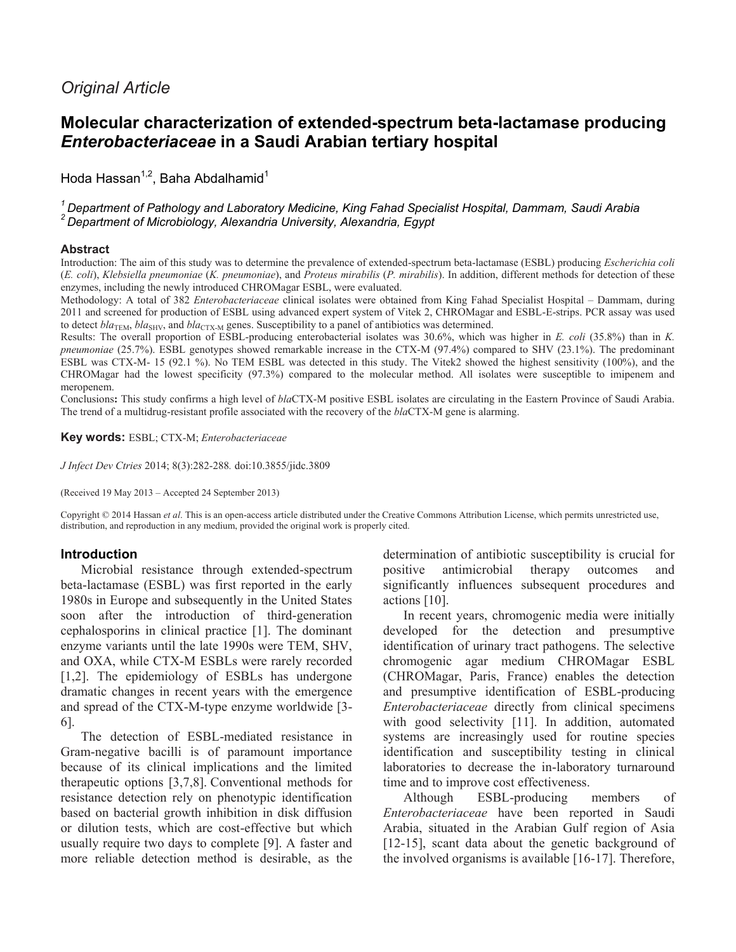# *Original Article*

# **Molecular characterization of extended-spectrum beta-lactamase producing**  *Enterobacteriaceae* **in a Saudi Arabian tertiary hospital**

Hoda Hassan<sup>1,2</sup>, Baha Abdalhamid<sup>1</sup>

*<sup>1</sup>Department of Pathology and Laboratory Medicine, King Fahad Specialist Hospital, Dammam, Saudi Arabia <sup>2</sup>Department of Microbiology, Alexandria University, Alexandria, Egypt*

#### **Abstract**

Introduction: The aim of this study was to determine the prevalence of extended-spectrum beta-lactamase (ESBL) producing *Escherichia coli*  (*E. coli*), *Klebsiella pneumoniae* (*K. pneumoniae*), and *Proteus mirabilis* (*P. mirabilis*). In addition, different methods for detection of these enzymes, including the newly introduced CHROMagar ESBL, were evaluated.

Methodology: A total of 382 *Enterobacteriaceae* clinical isolates were obtained from King Fahad Specialist Hospital – Dammam, during 2011 and screened for production of ESBL using advanced expert system of Vitek 2, CHROMagar and ESBL-E-strips. PCR assay was used to detect *bla*<sub>TEM</sub>, *bla*<sub>SHV</sub>, and *bla*<sub>CTX</sub><sub>M</sub> genes. Susceptibility to a panel of antibiotics was determined.

Results: The overall proportion of ESBL-producing enterobacterial isolates was 30.6%, which was higher in *E. coli* (35.8%) than in *K. pneumoniae* (25.7%). ESBL genotypes showed remarkable increase in the CTX-M (97.4%) compared to SHV (23.1%). The predominant ESBL was CTX-M- 15 (92.1 %). No TEM ESBL was detected in this study. The Vitek2 showed the highest sensitivity (100%), and the CHROMagar had the lowest specificity (97.3%) compared to the molecular method. All isolates were susceptible to imipenem and meropenem.

Conclusions**:** This study confirms a high level of *bla*CTX-M positive ESBL isolates are circulating in the Eastern Province of Saudi Arabia. The trend of a multidrug-resistant profile associated with the recovery of the *bla*CTX-M gene is alarming.

**Key words:** ESBL; CTX-M; *Enterobacteriaceae*

*J Infect Dev Ctries* 2014; 8(3):282-288*.* doi:10.3855/jidc.3809

(Received 19 May 2013 – Accepted 24 September 2013)

Copyright © 2014 Hassan *et al*. This is an open-access article distributed under the Creative Commons Attribution License, which permits unrestricted use, distribution, and reproduction in any medium, provided the original work is properly cited.

### **Introduction**

Microbial resistance through extended-spectrum beta-lactamase (ESBL) was first reported in the early 1980s in Europe and subsequently in the United States soon after the introduction of third-generation cephalosporins in clinical practice [1]. The dominant enzyme variants until the late 1990s were TEM, SHV, and OXA, while CTX-M ESBLs were rarely recorded [1,2]. The epidemiology of ESBLs has undergone dramatic changes in recent years with the emergence and spread of the CTX-M-type enzyme worldwide [3- 6].

The detection of ESBL-mediated resistance in Gram-negative bacilli is of paramount importance because of its clinical implications and the limited therapeutic options [3,7,8]. Conventional methods for resistance detection rely on phenotypic identification based on bacterial growth inhibition in disk diffusion or dilution tests, which are cost-effective but which usually require two days to complete [9]. A faster and more reliable detection method is desirable, as the determination of antibiotic susceptibility is crucial for positive antimicrobial therapy outcomes and significantly influences subsequent procedures and actions [10].

In recent years, chromogenic media were initially developed for the detection and presumptive identification of urinary tract pathogens. The selective chromogenic agar medium CHROMagar ESBL (CHROMagar, Paris, France) enables the detection and presumptive identification of ESBL-producing *Enterobacteriaceae* directly from clinical specimens with good selectivity [11]. In addition, automated systems are increasingly used for routine species identification and susceptibility testing in clinical laboratories to decrease the in-laboratory turnaround time and to improve cost effectiveness.

Although ESBL-producing members of *Enterobacteriaceae* have been reported in Saudi Arabia, situated in the Arabian Gulf region of Asia [12-15], scant data about the genetic background of the involved organisms is available [16-17]. Therefore,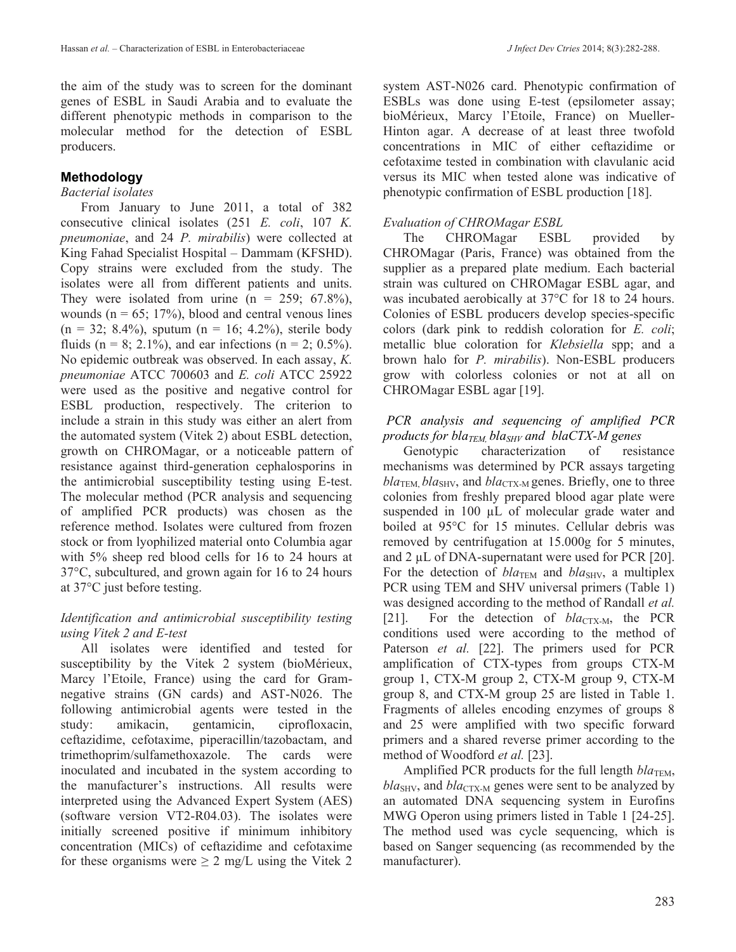the aim of the study was to screen for the dominant genes of ESBL in Saudi Arabia and to evaluate the different phenotypic methods in comparison to the molecular method for the detection of ESBL producers.

## **Methodology**

### *Bacterial isolates*

From January to June 2011, a total of 382 consecutive clinical isolates (251 *E. coli*, 107 *K. pneumoniae*, and 24 *P. mirabilis*) were collected at King Fahad Specialist Hospital – Dammam (KFSHD). Copy strains were excluded from the study. The isolates were all from different patients and units. They were isolated from urine  $(n = 259, 67.8\%)$ , wounds ( $n = 65$ ; 17%), blood and central venous lines  $(n = 32; 8.4\%)$ , sputum  $(n = 16; 4.2\%)$ , sterile body fluids (n = 8; 2.1%), and ear infections (n = 2; 0.5%). No epidemic outbreak was observed. In each assay, *K. pneumoniae* ATCC 700603 and *E. coli* ATCC 25922 were used as the positive and negative control for ESBL production, respectively. The criterion to include a strain in this study was either an alert from the automated system (Vitek 2) about ESBL detection, growth on CHROMagar, or a noticeable pattern of resistance against third-generation cephalosporins in the antimicrobial susceptibility testing using E-test. The molecular method (PCR analysis and sequencing of amplified PCR products) was chosen as the reference method. Isolates were cultured from frozen stock or from lyophilized material onto Columbia agar with 5% sheep red blood cells for 16 to 24 hours at 37°C, subcultured, and grown again for 16 to 24 hours at 37°C just before testing.

### *Identification and antimicrobial susceptibility testing using Vitek 2 and E-test*

All isolates were identified and tested for susceptibility by the Vitek 2 system (bioMérieux, Marcy l'Etoile, France) using the card for Gramnegative strains (GN cards) and AST-N026. The following antimicrobial agents were tested in the study: amikacin, gentamicin, ciprofloxacin, ceftazidime, cefotaxime, piperacillin/tazobactam, and trimethoprim/sulfamethoxazole. The cards were inoculated and incubated in the system according to the manufacturer's instructions. All results were interpreted using the Advanced Expert System (AES) (software version VT2-R04.03). The isolates were initially screened positive if minimum inhibitory concentration (MICs) of ceftazidime and cefotaxime for these organisms were  $\geq 2$  mg/L using the Vitek 2 system AST-N026 card. Phenotypic confirmation of ESBLs was done using E-test (epsilometer assay; bioMérieux, Marcy l'Etoile, France) on Mueller-Hinton agar. A decrease of at least three twofold concentrations in MIC of either ceftazidime or cefotaxime tested in combination with clavulanic acid versus its MIC when tested alone was indicative of phenotypic confirmation of ESBL production [18].

# *Evaluation of CHROMagar ESBL*

The CHROMagar ESBL provided by CHROMagar (Paris, France) was obtained from the supplier as a prepared plate medium. Each bacterial strain was cultured on CHROMagar ESBL agar, and was incubated aerobically at 37°C for 18 to 24 hours. Colonies of ESBL producers develop species-specific colors (dark pink to reddish coloration for *E. coli*; metallic blue coloration for *Klebsiella* spp; and a brown halo for *P. mirabilis*). Non-ESBL producers grow with colorless colonies or not at all on CHROMagar ESBL agar [19].

### *PCR analysis and sequencing of amplified PCR products for blaTEM, blaSHV and blaCTX-M genes*

Genotypic characterization of resistance mechanisms was determined by PCR assays targeting  $bla_{\text{TEM}}$ ,  $bla_{\text{SHV}}$ , and  $bla_{\text{CTX-M}}$  genes. Briefly, one to three colonies from freshly prepared blood agar plate were suspended in 100  $\mu$ L of molecular grade water and boiled at 95°C for 15 minutes. Cellular debris was removed by centrifugation at 15.000g for 5 minutes, and 2 µL of DNA-supernatant were used for PCR [20]. For the detection of  $bla_{\text{TEM}}$  and  $bla_{\text{SHV}}$ , a multiplex PCR using TEM and SHV universal primers (Table 1) was designed according to the method of Randall *et al.* [21]. For the detection of  $bla_{\text{CTX-M}}$ , the PCR conditions used were according to the method of Paterson *et al.* [22]. The primers used for PCR amplification of CTX-types from groups CTX-M group 1, CTX-M group 2, CTX-M group 9, CTX-M group 8, and CTX-M group 25 are listed in Table 1. Fragments of alleles encoding enzymes of groups 8 and 25 were amplified with two specific forward primers and a shared reverse primer according to the method of Woodford *et al.* [23].

Amplified PCR products for the full length  $bla_{\text{TEM}}$ ,  $bla<sub>SHV</sub>$ , and  $bla<sub>CTX-M</sub>$  genes were sent to be analyzed by an automated DNA sequencing system in Eurofins MWG Operon using primers listed in Table 1 [24-25]. The method used was cycle sequencing, which is based on Sanger sequencing (as recommended by the manufacturer).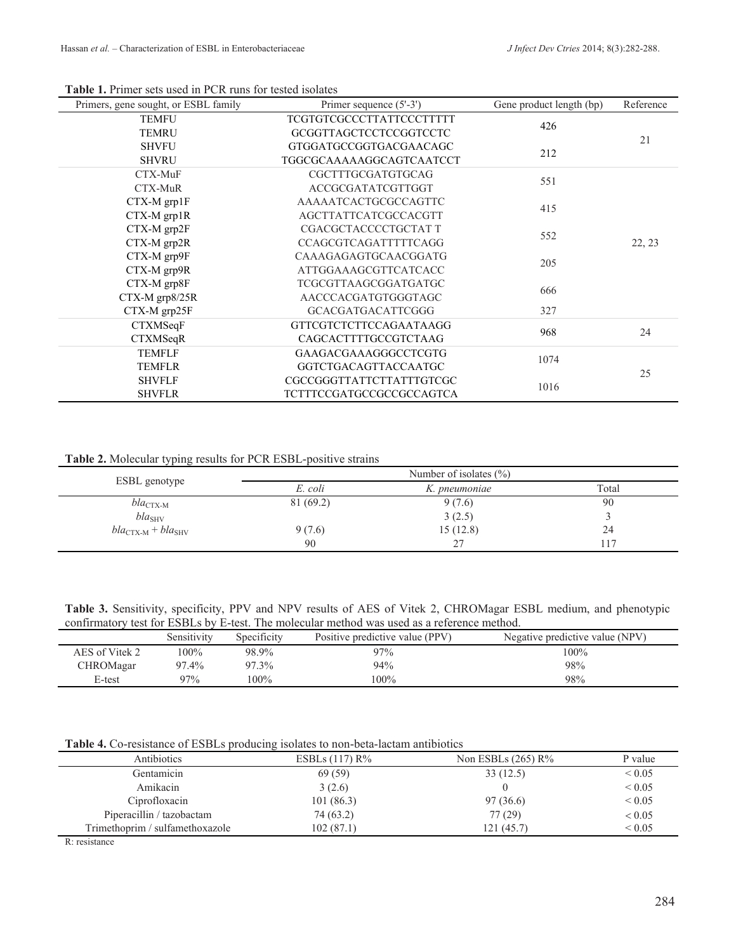| Primers, gene sought, or ESBL family | Primer sequence (5'-3')         | Gene product length (bp) | Reference |  |
|--------------------------------------|---------------------------------|--------------------------|-----------|--|
| <b>TEMFU</b>                         | <b>TCGTGTCGCCCTTATTCCCTTTTT</b> | 426                      |           |  |
| <b>TEMRU</b>                         | <b>GCGGTTAGCTCCTCCGGTCCTC</b>   |                          | 21        |  |
| <b>SHVFU</b>                         | GTGGATGCCGGTGACGAACAGC          | 212                      |           |  |
| <b>SHVRU</b>                         | TGGCGCAAAAAGGCAGTCAATCCT        |                          |           |  |
| CTX-MuF                              | CGCTTTGCGATGTGCAG               |                          | 22, 23    |  |
| CTX-MuR                              | ACCGCGATATCGTTGGT               | 551                      |           |  |
| CTX-M grp1F                          | AAAAATCACTGCGCCAGTTC            | 415                      |           |  |
| $CTX-M$ $grp1R$                      | AGCTTATTCATCGCCACGTT            |                          |           |  |
| CTX-M grp2F                          | CGACGCTACCCCTGCTATT             |                          |           |  |
| CTX-M grp2R                          | <b>CCAGCGTCAGATTTTTCAGG</b>     | 552                      |           |  |
| CTX-M grp9F                          | CAAAGAGAGTGCAACGGATG            | 205                      |           |  |
| CTX-M grp9R                          | ATTGGAAAGCGTTCATCACC            |                          |           |  |
| CTX-M grp8F                          | TCGCGTTAAGCGGATGATGC            | 666                      |           |  |
| CTX-M grp8/25R                       | AACCCACGATGTGGGTAGC             |                          |           |  |
| CTX-M grp25F                         | <b>GCACGATGACATTCGGG</b>        | 327                      |           |  |
| CTXMSeqF                             | <b>GTTCGTCTCTTCCAGAATAAGG</b>   | 968                      | 24        |  |
| <b>CTXMSeqR</b>                      | CAGCACTTTTGCCGTCTAAG            |                          |           |  |
| <b>TEMFLF</b>                        | <b>GAAGACGAAAGGGCCTCGTG</b>     | 1074                     |           |  |
| <b>TEMFLR</b>                        | GGTCTGACAGTTACCAATGC            |                          | 25        |  |
| <b>SHVFLF</b>                        | CGCCGGGTTATTCTTATTTGTCGC        |                          |           |  |
| <b>SHVFLR</b>                        | TCTTTCCGATGCCGCCGCCAGTCA        | 1016                     |           |  |

#### **Table 1.** Primer sets used in PCR runs for tested isolates

**Table 2.** Molecular typing results for PCR ESBL-positive strains

| ESBL genotype                           |          | Number of isolates $(\% )$ |       |
|-----------------------------------------|----------|----------------------------|-------|
|                                         | E. coli  | K. pneumoniae              | Total |
| $bla_{\text{CTX-M}}$                    | 81(69.2) | 9(7.6)                     | 90    |
| $bla_{\text{SHV}}$                      |          | 3(2.5)                     |       |
| $bla_{\text{CTX-M}} + bla_{\text{SHV}}$ | 9(7.6)   | 15(12.8)                   | 24    |
|                                         | 90       | 27                         | 17    |

**Table 3.** Sensitivity, specificity, PPV and NPV results of AES of Vitek 2, CHROMagar ESBL medium, and phenotypic confirmatory test for ESBLs by E-test. The molecular method was used as a reference method.

|                | Sensitivitv | Specificity | Positive predictive value (PPV) | Negative predictive value (NPV) |
|----------------|-------------|-------------|---------------------------------|---------------------------------|
| AES of Vitek 2 | $100\%$     | 98.9%       | $97\%$                          | $100\%$                         |
| CHROMagar      | 97.4%       | 97.3%       | 94%                             | 98%                             |
| E-test         | 97%         | $100\%$     | 100%                            | 98%                             |

**Table 4.** Co-resistance of ESBLs producing isolates to non-beta-lactam antibiotics

| Antibiotics                               | ESBLs $(117)$ R <sup>%</sup> | Non ESBLs $(265)$ R% | P value     |
|-------------------------------------------|------------------------------|----------------------|-------------|
| Gentamicin                                | 69 (59)                      | 33(12.5)             | ${}_{0.05}$ |
| Amikacin                                  | 3(2.6)                       |                      | ${}< 0.05$  |
| Ciprofloxacin                             | 101(86.3)                    | 97(36.6)             | ${}_{0.05}$ |
| Piperacillin / tazobactam                 | 74 (63.2)                    | 77(29)               | ${}< 0.05$  |
| Trimethoprim / sulfamethoxazole           | 102(87.1)                    | 121 (45.7)           | ${}_{0.05}$ |
| <b>Service Contract Contract Contract</b> |                              |                      |             |

R: resistance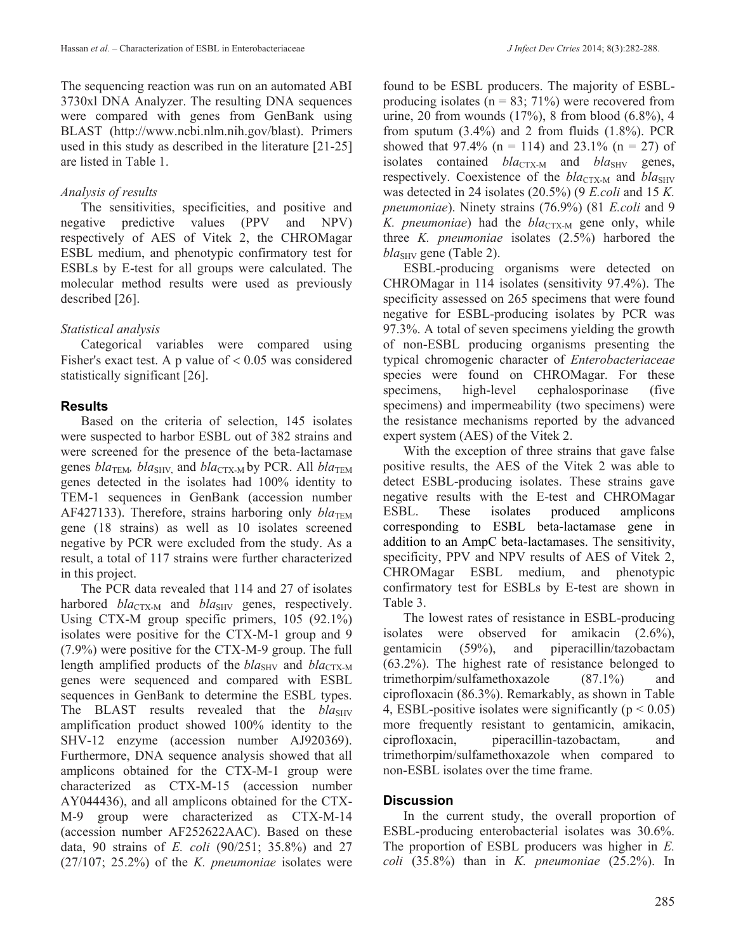The sequencing reaction was run on an automated ABI 3730xl DNA Analyzer. The resulting DNA sequences were compared with genes from GenBank using BLAST (http://www.ncbi.nlm.nih.gov/blast). Primers used in this study as described in the literature [21-25] are listed in Table 1.

# *Analysis of results*

The sensitivities, specificities, and positive and negative predictive values (PPV and NPV) respectively of AES of Vitek 2, the CHROMagar ESBL medium, and phenotypic confirmatory test for ESBLs by E-test for all groups were calculated. The molecular method results were used as previously described [26].

# *Statistical analysis*

Categorical variables were compared using Fisher's exact test. A p value of  $< 0.05$  was considered statistically significant [26].

# **Results**

Based on the criteria of selection, 145 isolates were suspected to harbor ESBL out of 382 strains and were screened for the presence of the beta-lactamase genes  $bla_{\text{TEM}}$ ,  $bla_{\text{SHV}}$  and  $bla_{\text{CTX-M}}$  by PCR. All  $bla_{\text{TEM}}$ genes detected in the isolates had 100% identity to TEM-1 sequences in GenBank (accession number AF427133). Therefore, strains harboring only  $bla_{\text{TEM}}$ gene (18 strains) as well as 10 isolates screened negative by PCR were excluded from the study. As a result, a total of 117 strains were further characterized in this project.

The PCR data revealed that 114 and 27 of isolates harbored *bla*<sub>CTX-M</sub> and *bla*<sub>SHV</sub> genes, respectively. Using CTX-M group specific primers, 105 (92.1%) isolates were positive for the CTX-M-1 group and 9 (7.9%) were positive for the CTX-M-9 group. The full length amplified products of the  $bla_{\text{SHV}}$  and  $bla_{\text{CTX-M}}$ genes were sequenced and compared with ESBL sequences in GenBank to determine the ESBL types. The BLAST results revealed that the  $bla_{SHV}$ amplification product showed 100% identity to the SHV-12 enzyme (accession number AJ920369). Furthermore, DNA sequence analysis showed that all amplicons obtained for the CTX-M-1 group were characterized as CTX-M-15 (accession number AY044436), and all amplicons obtained for the CTX-M-9 group were characterized as CTX-M-14 (accession number AF252622AAC). Based on these data, 90 strains of *E. coli* (90/251; 35.8%) and 27 (27/107; 25.2%) of the *K. pneumoniae* isolates were found to be ESBL producers. The majority of ESBLproducing isolates ( $n = 83$ ; 71%) were recovered from urine, 20 from wounds (17%), 8 from blood (6.8%), 4 from sputum  $(3.4\%)$  and 2 from fluids  $(1.8\%)$ . PCR showed that 97.4% ( $n = 114$ ) and 23.1% ( $n = 27$ ) of isolates contained  $bla_{\text{CTX-M}}$  and  $bla_{\text{SHV}}$  genes, respectively. Coexistence of the *bla*<sub>CTX-M</sub> and *bla*<sub>SHV</sub> was detected in 24 isolates (20.5%) (9 *E.coli* and 15 *K. pneumoniae*). Ninety strains (76.9%) (81 *E.coli* and 9 *K. pneumoniae*) had the *bla*<sub>CTX-M</sub> gene only, while three *K. pneumoniae* isolates (2.5%) harbored the *bla<sub>SHV</sub>* gene (Table 2).

ESBL-producing organisms were detected on CHROMagar in 114 isolates (sensitivity 97.4%). The specificity assessed on 265 specimens that were found negative for ESBL-producing isolates by PCR was 97.3%. A total of seven specimens yielding the growth of non-ESBL producing organisms presenting the typical chromogenic character of *Enterobacteriaceae*  species were found on CHROMagar. For these specimens, high-level cephalosporinase (five specimens) and impermeability (two specimens) were the resistance mechanisms reported by the advanced expert system (AES) of the Vitek 2.

With the exception of three strains that gave false positive results, the AES of the Vitek 2 was able to detect ESBL-producing isolates. These strains gave negative results with the E-test and CHROMagar ESBL. These isolates produced amplicons corresponding to ESBL beta-lactamase gene in addition to an AmpC beta-lactamases. The sensitivity, specificity, PPV and NPV results of AES of Vitek 2, CHROMagar ESBL medium, and phenotypic confirmatory test for ESBLs by E-test are shown in Table 3.

The lowest rates of resistance in ESBL-producing isolates were observed for amikacin (2.6%), gentamicin (59%), and piperacillin/tazobactam (63.2%). The highest rate of resistance belonged to trimethorpim/sulfamethoxazole (87.1%) and ciprofloxacin (86.3%). Remarkably, as shown in Table 4, ESBL-positive isolates were significantly ( $p < 0.05$ ) more frequently resistant to gentamicin, amikacin, ciprofloxacin, piperacillin-tazobactam, and trimethorpim/sulfamethoxazole when compared to non-ESBL isolates over the time frame.

# **Discussion**

In the current study, the overall proportion of ESBL-producing enterobacterial isolates was 30.6%. The proportion of ESBL producers was higher in *E. coli* (35.8%) than in *K. pneumoniae* (25.2%). In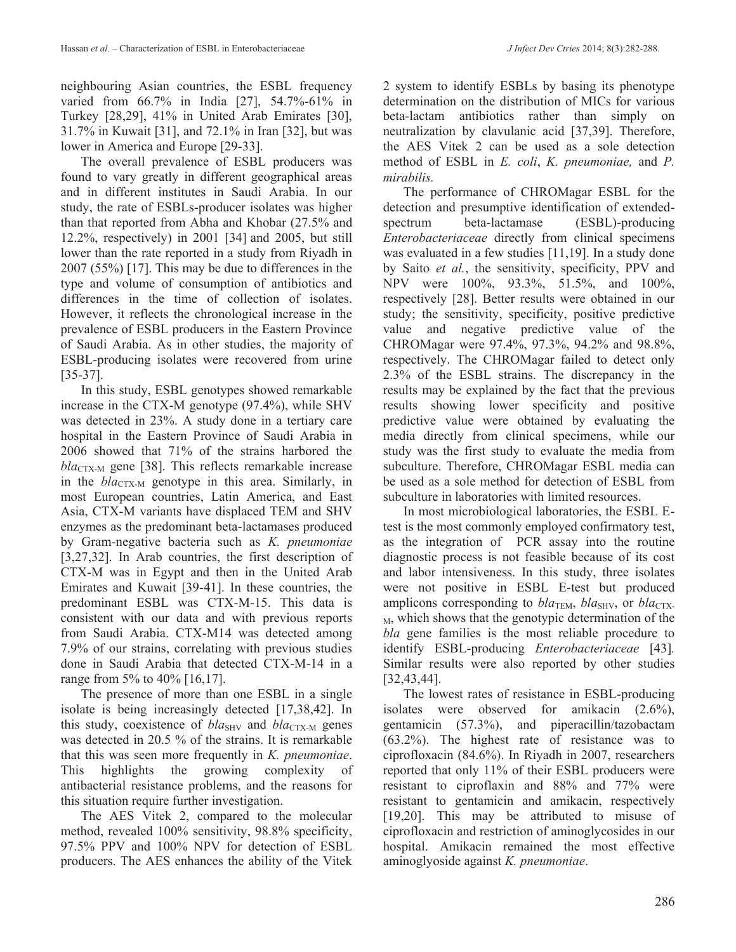neighbouring Asian countries, the ESBL frequency varied from 66.7% in India [27], 54.7%-61% in Turkey [28,29], 41% in United Arab Emirates [30], 31.7% in Kuwait [31], and 72.1% in Iran [32], but was lower in America and Europe [29-33].

The overall prevalence of ESBL producers was found to vary greatly in different geographical areas and in different institutes in Saudi Arabia. In our study, the rate of ESBLs-producer isolates was higher than that reported from Abha and Khobar (27.5% and 12.2%, respectively) in 2001 [34] and 2005, but still lower than the rate reported in a study from Riyadh in 2007 (55%) [17]. This may be due to differences in the type and volume of consumption of antibiotics and differences in the time of collection of isolates. However, it reflects the chronological increase in the prevalence of ESBL producers in the Eastern Province of Saudi Arabia. As in other studies, the majority of ESBL-producing isolates were recovered from urine [35-37].

In this study, ESBL genotypes showed remarkable increase in the CTX-M genotype (97.4%), while SHV was detected in 23%. A study done in a tertiary care hospital in the Eastern Province of Saudi Arabia in 2006 showed that 71% of the strains harbored the  $bla_{\text{CTX-M}}$  gene [38]. This reflects remarkable increase in the *bla*<sub>CTX-M</sub> genotype in this area. Similarly, in most European countries, Latin America, and East Asia, CTX-M variants have displaced TEM and SHV enzymes as the predominant beta-lactamases produced by Gram-negative bacteria such as *K. pneumoniae* [3,27,32]. In Arab countries, the first description of CTX-M was in Egypt and then in the United Arab Emirates and Kuwait [39-41]. In these countries, the predominant ESBL was CTX-M-15. This data is consistent with our data and with previous reports from Saudi Arabia. CTX-M14 was detected among 7.9% of our strains, correlating with previous studies done in Saudi Arabia that detected CTX-M-14 in a range from 5% to 40% [16,17].

The presence of more than one ESBL in a single isolate is being increasingly detected [17,38,42]. In this study, coexistence of  $bla<sub>SHV</sub>$  and  $bla<sub>CTX-M</sub>$  genes was detected in 20.5 % of the strains. It is remarkable that this was seen more frequently in *K. pneumoniae*. This highlights the growing complexity of antibacterial resistance problems, and the reasons for this situation require further investigation.

The AES Vitek 2, compared to the molecular method, revealed 100% sensitivity, 98.8% specificity, 97.5% PPV and 100% NPV for detection of ESBL producers. The AES enhances the ability of the Vitek 2 system to identify ESBLs by basing its phenotype determination on the distribution of MICs for various beta-lactam antibiotics rather than simply on neutralization by clavulanic acid [37,39]. Therefore,

the AES Vitek 2 can be used as a sole detection method of ESBL in *E. coli*, *K. pneumoniae,* and *P. mirabilis.*

The performance of CHROMagar ESBL for the detection and presumptive identification of extendedspectrum beta-lactamase (ESBL)-producing *Enterobacteriaceae* directly from clinical specimens was evaluated in a few studies [11,19]. In a study done by Saito *et al.*, the sensitivity, specificity, PPV and NPV were 100%, 93.3%, 51.5%, and 100%, respectively [28]. Better results were obtained in our study; the sensitivity, specificity, positive predictive value and negative predictive value of the CHROMagar were 97.4%, 97.3%, 94.2% and 98.8%, respectively. The CHROMagar failed to detect only 2.3% of the ESBL strains. The discrepancy in the results may be explained by the fact that the previous results showing lower specificity and positive predictive value were obtained by evaluating the media directly from clinical specimens, while our study was the first study to evaluate the media from subculture. Therefore, CHROMagar ESBL media can be used as a sole method for detection of ESBL from subculture in laboratories with limited resources.

In most microbiological laboratories, the ESBL Etest is the most commonly employed confirmatory test, as the integration of PCR assay into the routine diagnostic process is not feasible because of its cost and labor intensiveness. In this study, three isolates were not positive in ESBL E-test but produced amplicons corresponding to  $bla_{\text{TEM}}$ ,  $bla_{\text{SHV}}$ , or  $bla_{\text{CTX}}$ . <sup>M</sup>, which shows that the genotypic determination of the *bla* gene families is the most reliable procedure to identify ESBL-producing *Enterobacteriaceae* [43]*.* Similar results were also reported by other studies [32,43,44].

The lowest rates of resistance in ESBL-producing isolates were observed for amikacin (2.6%), gentamicin (57.3%), and piperacillin/tazobactam (63.2%). The highest rate of resistance was to ciprofloxacin (84.6%). In Riyadh in 2007, researchers reported that only 11% of their ESBL producers were resistant to ciproflaxin and 88% and 77% were resistant to gentamicin and amikacin, respectively [19,20]. This may be attributed to misuse of ciprofloxacin and restriction of aminoglycosides in our hospital. Amikacin remained the most effective aminoglyoside against *K. pneumoniae*.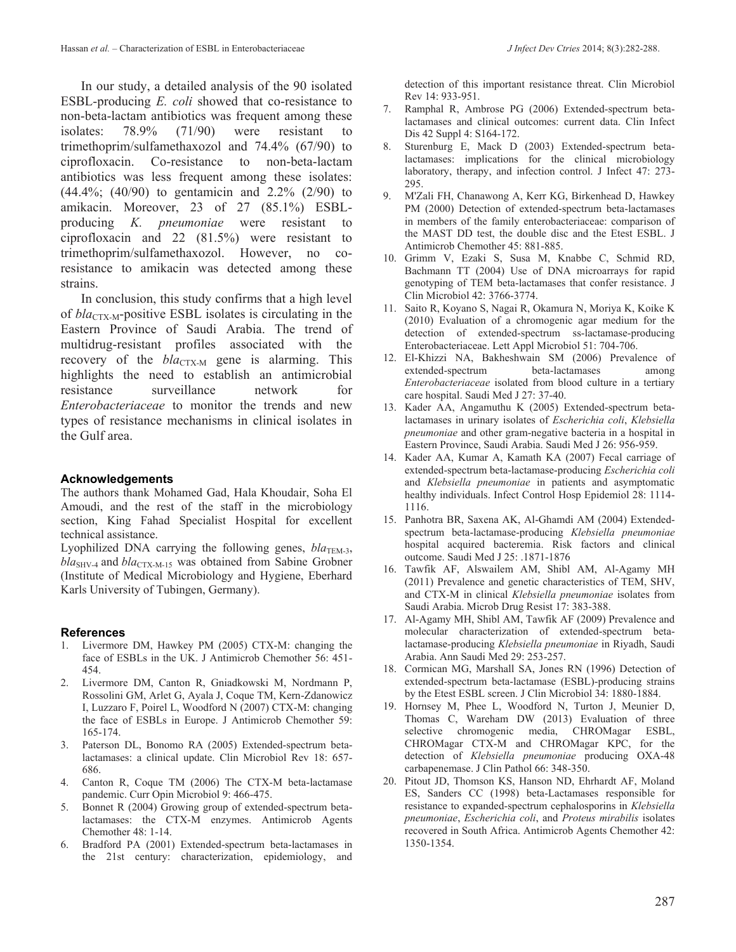In our study, a detailed analysis of the 90 isolated ESBL-producing *E. coli* showed that co-resistance to non-beta-lactam antibiotics was frequent among these isolates: 78.9% (71/90) were resistant to trimethoprim/sulfamethaxozol and 74.4% (67/90) to ciprofloxacin. Co-resistance to non-beta-lactam antibiotics was less frequent among these isolates: (44.4%; (40/90) to gentamicin and 2.2% (2/90) to amikacin. Moreover, 23 of 27 (85.1%) ESBLproducing *K. pneumoniae* were resistant to ciprofloxacin and 22 (81.5%) were resistant to trimethoprim/sulfamethaxozol. However, no coresistance to amikacin was detected among these strains.

In conclusion, this study confirms that a high level of *bla*<sub>CTX-M</sub>-positive ESBL isolates is circulating in the Eastern Province of Saudi Arabia. The trend of multidrug-resistant profiles associated with the recovery of the *bla*<sub>CTX-M</sub> gene is alarming. This highlights the need to establish an antimicrobial resistance surveillance network for *Enterobacteriaceae* to monitor the trends and new types of resistance mechanisms in clinical isolates in the Gulf area.

### **Acknowledgements**

The authors thank Mohamed Gad, Hala Khoudair, Soha El Amoudi, and the rest of the staff in the microbiology section, King Fahad Specialist Hospital for excellent technical assistance.

Lyophilized DNA carrying the following genes,  $bla_{\text{TEM-3}}$ ,  $bla<sub>SHV-4</sub>$  and  $bla<sub>CTX-M-15</sub>$  was obtained from Sabine Grobner (Institute of Medical Microbiology and Hygiene, Eberhard Karls University of Tubingen, Germany).

### **References**

- 1. Livermore DM, Hawkey PM (2005) CTX-M: changing the face of ESBLs in the UK. J Antimicrob Chemother 56: 451- 454.
- 2. Livermore DM, Canton R, Gniadkowski M, Nordmann P, Rossolini GM, Arlet G, Ayala J, Coque TM, Kern-Zdanowicz I, Luzzaro F, Poirel L, Woodford N (2007) CTX-M: changing the face of ESBLs in Europe. J Antimicrob Chemother 59: 165-174.
- 3. Paterson DL, Bonomo RA (2005) Extended-spectrum betalactamases: a clinical update. Clin Microbiol Rev 18: 657- 686.
- 4. Canton R, Coque TM (2006) The CTX-M beta-lactamase pandemic. Curr Opin Microbiol 9: 466-475.
- 5. Bonnet R (2004) Growing group of extended-spectrum betalactamases: the CTX-M enzymes. Antimicrob Agents Chemother 48: 1-14.
- 6. Bradford PA (2001) Extended-spectrum beta-lactamases in the 21st century: characterization, epidemiology, and

detection of this important resistance threat. Clin Microbiol Rev 14: 933-951.

- 7. Ramphal R, Ambrose PG (2006) Extended-spectrum betalactamases and clinical outcomes: current data. Clin Infect Dis 42 Suppl 4: S164-172.
- 8. Sturenburg E, Mack D (2003) Extended-spectrum betalactamases: implications for the clinical microbiology laboratory, therapy, and infection control. J Infect 47: 273- 295.
- 9. M'Zali FH, Chanawong A, Kerr KG, Birkenhead D, Hawkey PM (2000) Detection of extended-spectrum beta-lactamases in members of the family enterobacteriaceae: comparison of the MAST DD test, the double disc and the Etest ESBL. J Antimicrob Chemother 45: 881-885.
- 10. Grimm V, Ezaki S, Susa M, Knabbe C, Schmid RD, Bachmann TT (2004) Use of DNA microarrays for rapid genotyping of TEM beta-lactamases that confer resistance. J Clin Microbiol 42: 3766-3774.
- 11. Saito R, Koyano S, Nagai R, Okamura N, Moriya K, Koike K (2010) Evaluation of a chromogenic agar medium for the detection of extended-spectrum ss-lactamase-producing Enterobacteriaceae. Lett Appl Microbiol 51: 704-706.
- 12. El-Khizzi NA, Bakheshwain SM (2006) Prevalence of extended-spectrum beta-lactamases among *Enterobacteriaceae* isolated from blood culture in a tertiary care hospital. Saudi Med J 27: 37-40.
- 13. Kader AA, Angamuthu K (2005) Extended-spectrum betalactamases in urinary isolates of *Escherichia coli*, *Klebsiella pneumoniae* and other gram-negative bacteria in a hospital in Eastern Province, Saudi Arabia. Saudi Med J 26: 956-959.
- 14. Kader AA, Kumar A, Kamath KA (2007) Fecal carriage of extended-spectrum beta-lactamase-producing *Escherichia coli* and *Klebsiella pneumoniae* in patients and asymptomatic healthy individuals. Infect Control Hosp Epidemiol 28: 1114- 1116.
- 15. Panhotra BR, Saxena AK, Al-Ghamdi AM (2004) Extendedspectrum beta-lactamase-producing *Klebsiella pneumoniae* hospital acquired bacteremia. Risk factors and clinical outcome. Saudi Med J 25: .1871-1876
- 16. Tawfik AF, Alswailem AM, Shibl AM, Al-Agamy MH (2011) Prevalence and genetic characteristics of TEM, SHV, and CTX-M in clinical *Klebsiella pneumoniae* isolates from Saudi Arabia. Microb Drug Resist 17: 383-388.
- 17. Al-Agamy MH, Shibl AM, Tawfik AF (2009) Prevalence and molecular characterization of extended-spectrum betalactamase-producing *Klebsiella pneumoniae* in Riyadh, Saudi Arabia. Ann Saudi Med 29: 253-257.
- 18. Cormican MG, Marshall SA, Jones RN (1996) Detection of extended-spectrum beta-lactamase (ESBL)-producing strains by the Etest ESBL screen. J Clin Microbiol 34: 1880-1884.
- 19. Hornsey M, Phee L, Woodford N, Turton J, Meunier D, Thomas C, Wareham DW (2013) Evaluation of three selective chromogenic media, CHROMagar ESBL, CHROMagar CTX-M and CHROMagar KPC, for the detection of *Klebsiella pneumoniae* producing OXA-48 carbapenemase. J Clin Pathol 66: 348-350.
- 20. Pitout JD, Thomson KS, Hanson ND, Ehrhardt AF, Moland ES, Sanders CC (1998) beta-Lactamases responsible for resistance to expanded-spectrum cephalosporins in *Klebsiella pneumoniae*, *Escherichia coli*, and *Proteus mirabilis* isolates recovered in South Africa. Antimicrob Agents Chemother 42: 1350-1354.